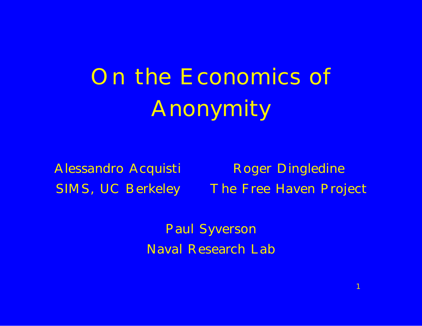On the Economics of Anonymity

Alessandro Acquisti Roger Dingledine SIMS, UC Berkeley The Free Haven Project

1

Paul Syverson Naval Research Lab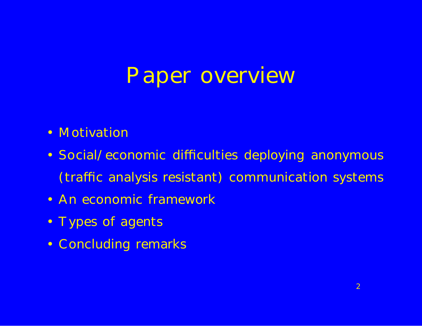### Paper overview

- Motivation
- Social/economic di culties deploying anonymous (tra c analysis resistant) communication systems
- An economic framework
- Types of agents
- Concluding remarks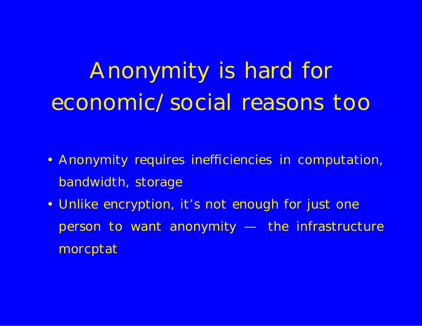# Anonymity is hard for economic/social reasons too

- Anonymity requires ine ciencies in computation, bandwidth, storage
- Unlike encryption, it's not enough for just one person to want anonymity — the infrastructure morcptat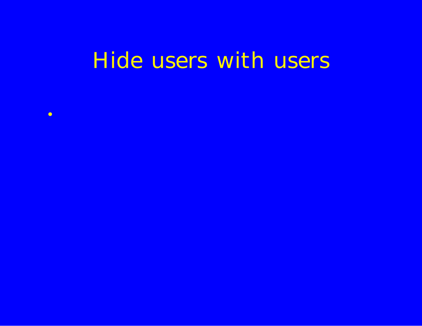### Hide users with users

• Anonymity systems messages (the more noise, the more

- Senders are consumers of anonymity, and providersof cover
- Users might be better of on crowded systems, even i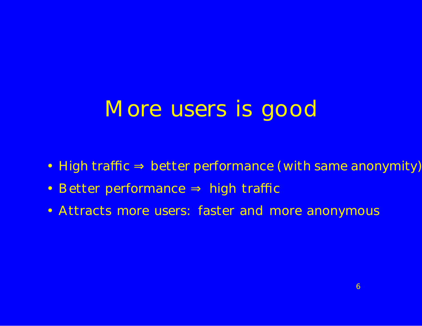## More users is good

- High tra c better performance (with same anonymity)
- Better performance high tra c
- Attracts more users: faster and more anonymous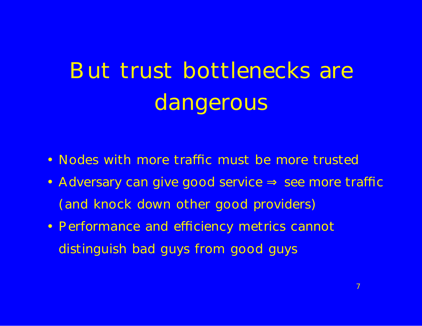# But trust bottlenecks are dangerous

- Nodes with more tra c must be more trusted
- Adversary can give good service see more tra c (and knock down other good providers)
- Performance and e ciency metrics cannot distinguish bad guys from good guys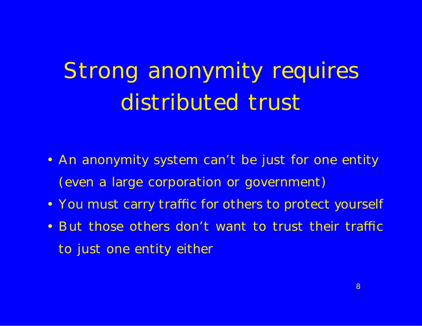# Strong anonymity requires distributed trust

- An anonymity system can't be just for one entity (even a large corporation or government)
- You must carry tra c for others to protect yourself
- But those others don't want to trust their tra c to just one entity either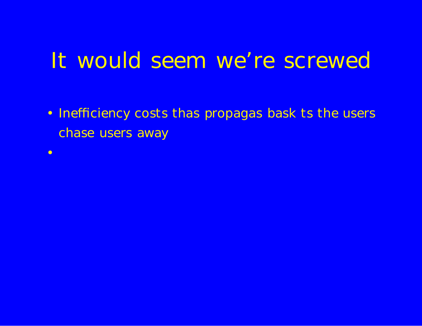### It would seem we're screwed

- Ine ciency costs thas propagas bask ts the users chase users away
- •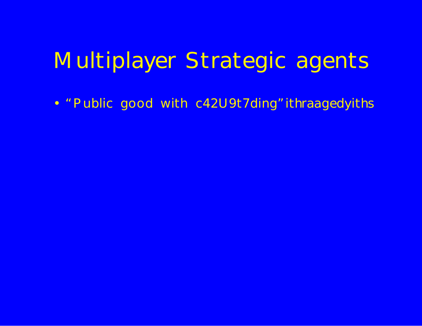## Multiplayer Strategic agents

. " Public good with c42U9t7ding" ithraagedyiths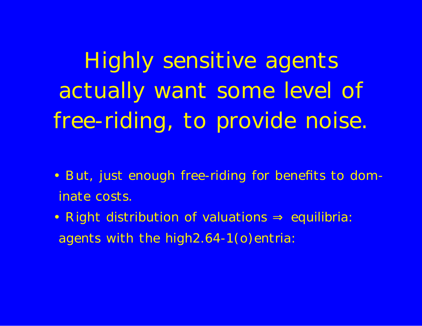Highly sensitive agents actually want some level of free-riding, to provide noise.

- But, just enough free-riding for benefits to dominate costs.
- Right distribution of valuations equilibria: agents with the high2.64-1(o)entria: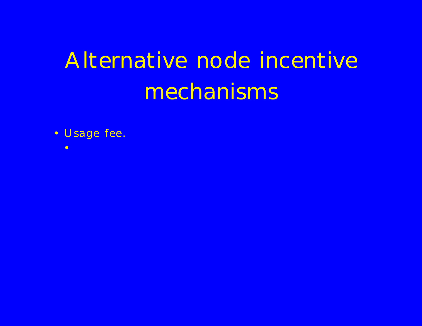# Alternative node incentive mechanisms

• Usage fee.

• Market sumbrt for low overhead services (Anonymizeb.